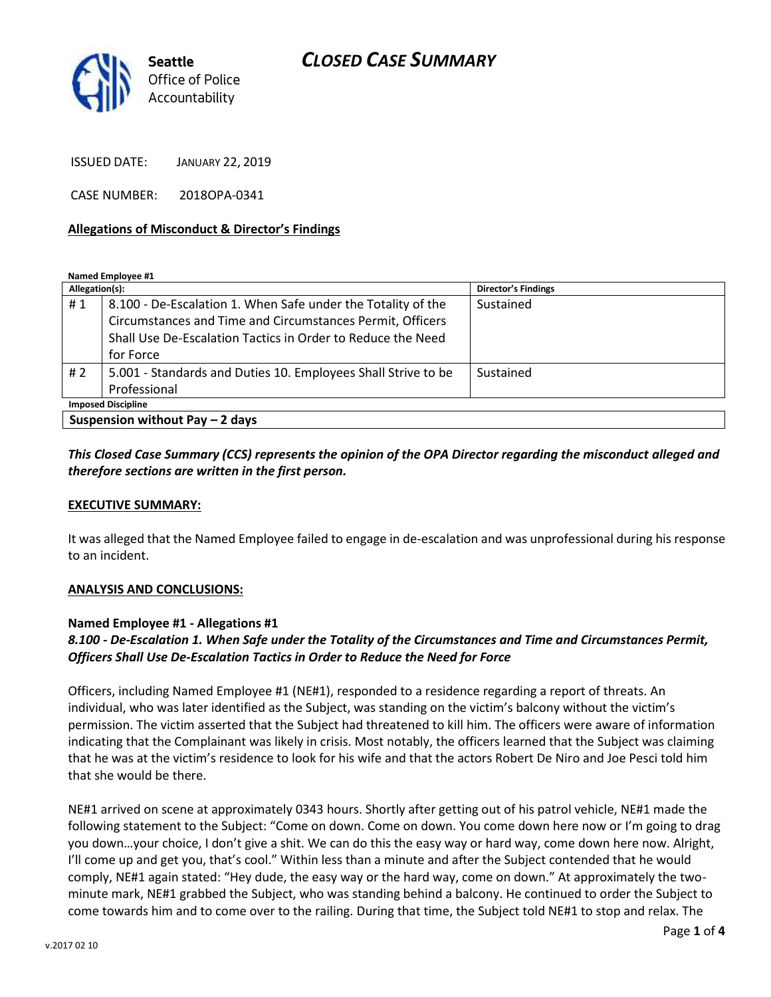

*CLOSED CASE SUMMARY*

ISSUED DATE: JANUARY 22, 2019

CASE NUMBER: 2018OPA-0341

### **Allegations of Misconduct & Director's Findings**

**Named Employee #1**

| Allegation(s):                   |                                                               | <b>Director's Findings</b> |
|----------------------------------|---------------------------------------------------------------|----------------------------|
| #1                               | 8.100 - De-Escalation 1. When Safe under the Totality of the  | Sustained                  |
|                                  | Circumstances and Time and Circumstances Permit, Officers     |                            |
|                                  | Shall Use De-Escalation Tactics in Order to Reduce the Need   |                            |
|                                  | for Force                                                     |                            |
| #2                               | 5.001 - Standards and Duties 10. Employees Shall Strive to be | Sustained                  |
|                                  | Professional                                                  |                            |
| <b>Imposed Discipline</b>        |                                                               |                            |
| Suspension without Pay $-2$ days |                                                               |                            |

## *This Closed Case Summary (CCS) represents the opinion of the OPA Director regarding the misconduct alleged and therefore sections are written in the first person.*

#### **EXECUTIVE SUMMARY:**

It was alleged that the Named Employee failed to engage in de-escalation and was unprofessional during his response to an incident.

#### **ANALYSIS AND CONCLUSIONS:**

### **Named Employee #1 - Allegations #1**

## *8.100 - De-Escalation 1. When Safe under the Totality of the Circumstances and Time and Circumstances Permit, Officers Shall Use De-Escalation Tactics in Order to Reduce the Need for Force*

Officers, including Named Employee #1 (NE#1), responded to a residence regarding a report of threats. An individual, who was later identified as the Subject, was standing on the victim's balcony without the victim's permission. The victim asserted that the Subject had threatened to kill him. The officers were aware of information indicating that the Complainant was likely in crisis. Most notably, the officers learned that the Subject was claiming that he was at the victim's residence to look for his wife and that the actors Robert De Niro and Joe Pesci told him that she would be there.

NE#1 arrived on scene at approximately 0343 hours. Shortly after getting out of his patrol vehicle, NE#1 made the following statement to the Subject: "Come on down. Come on down. You come down here now or I'm going to drag you down…your choice, I don't give a shit. We can do this the easy way or hard way, come down here now. Alright, I'll come up and get you, that's cool." Within less than a minute and after the Subject contended that he would comply, NE#1 again stated: "Hey dude, the easy way or the hard way, come on down." At approximately the twominute mark, NE#1 grabbed the Subject, who was standing behind a balcony. He continued to order the Subject to come towards him and to come over to the railing. During that time, the Subject told NE#1 to stop and relax. The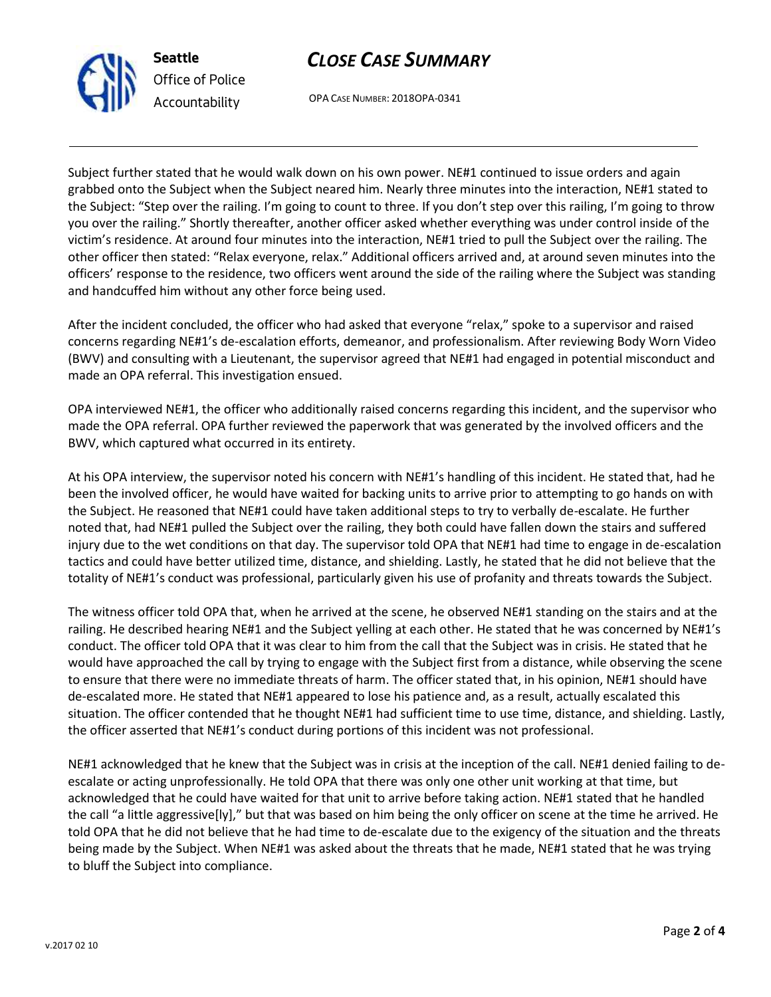



OPA CASE NUMBER: 2018OPA-0341

Subject further stated that he would walk down on his own power. NE#1 continued to issue orders and again grabbed onto the Subject when the Subject neared him. Nearly three minutes into the interaction, NE#1 stated to the Subject: "Step over the railing. I'm going to count to three. If you don't step over this railing, I'm going to throw you over the railing." Shortly thereafter, another officer asked whether everything was under control inside of the victim's residence. At around four minutes into the interaction, NE#1 tried to pull the Subject over the railing. The other officer then stated: "Relax everyone, relax." Additional officers arrived and, at around seven minutes into the officers' response to the residence, two officers went around the side of the railing where the Subject was standing and handcuffed him without any other force being used.

After the incident concluded, the officer who had asked that everyone "relax," spoke to a supervisor and raised concerns regarding NE#1's de-escalation efforts, demeanor, and professionalism. After reviewing Body Worn Video (BWV) and consulting with a Lieutenant, the supervisor agreed that NE#1 had engaged in potential misconduct and made an OPA referral. This investigation ensued.

OPA interviewed NE#1, the officer who additionally raised concerns regarding this incident, and the supervisor who made the OPA referral. OPA further reviewed the paperwork that was generated by the involved officers and the BWV, which captured what occurred in its entirety.

At his OPA interview, the supervisor noted his concern with NE#1's handling of this incident. He stated that, had he been the involved officer, he would have waited for backing units to arrive prior to attempting to go hands on with the Subject. He reasoned that NE#1 could have taken additional steps to try to verbally de-escalate. He further noted that, had NE#1 pulled the Subject over the railing, they both could have fallen down the stairs and suffered injury due to the wet conditions on that day. The supervisor told OPA that NE#1 had time to engage in de-escalation tactics and could have better utilized time, distance, and shielding. Lastly, he stated that he did not believe that the totality of NE#1's conduct was professional, particularly given his use of profanity and threats towards the Subject.

The witness officer told OPA that, when he arrived at the scene, he observed NE#1 standing on the stairs and at the railing. He described hearing NE#1 and the Subject yelling at each other. He stated that he was concerned by NE#1's conduct. The officer told OPA that it was clear to him from the call that the Subject was in crisis. He stated that he would have approached the call by trying to engage with the Subject first from a distance, while observing the scene to ensure that there were no immediate threats of harm. The officer stated that, in his opinion, NE#1 should have de-escalated more. He stated that NE#1 appeared to lose his patience and, as a result, actually escalated this situation. The officer contended that he thought NE#1 had sufficient time to use time, distance, and shielding. Lastly, the officer asserted that NE#1's conduct during portions of this incident was not professional.

NE#1 acknowledged that he knew that the Subject was in crisis at the inception of the call. NE#1 denied failing to deescalate or acting unprofessionally. He told OPA that there was only one other unit working at that time, but acknowledged that he could have waited for that unit to arrive before taking action. NE#1 stated that he handled the call "a little aggressive[ly]," but that was based on him being the only officer on scene at the time he arrived. He told OPA that he did not believe that he had time to de-escalate due to the exigency of the situation and the threats being made by the Subject. When NE#1 was asked about the threats that he made, NE#1 stated that he was trying to bluff the Subject into compliance.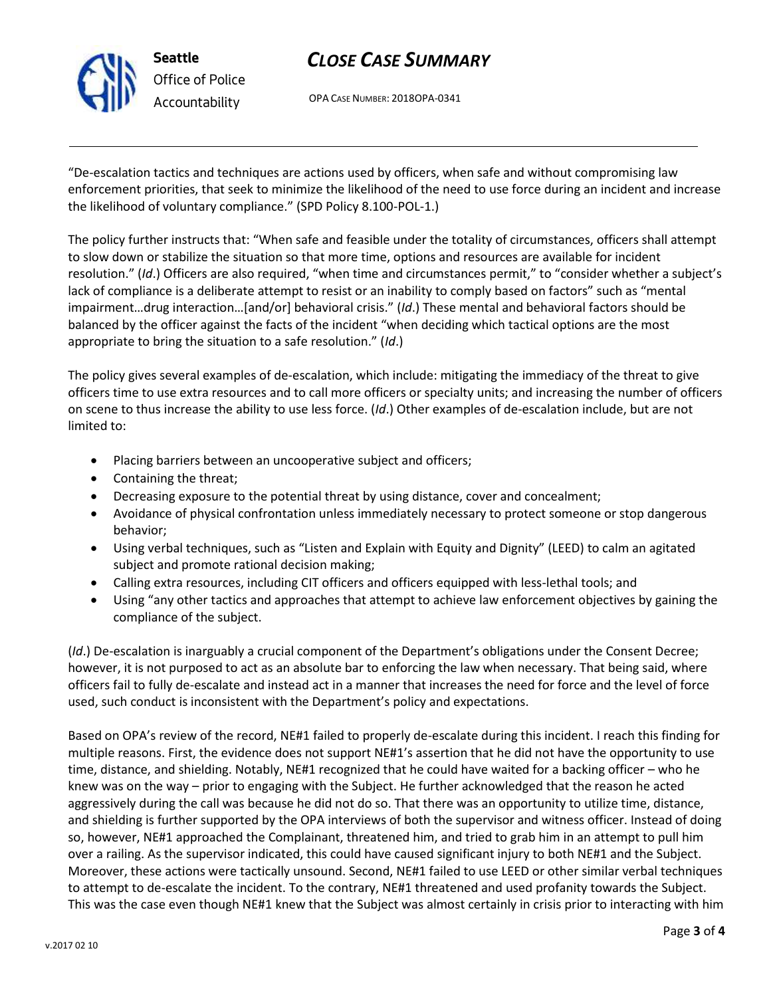

# *CLOSE CASE SUMMARY*

OPA CASE NUMBER: 2018OPA-0341

"De-escalation tactics and techniques are actions used by officers, when safe and without compromising law enforcement priorities, that seek to minimize the likelihood of the need to use force during an incident and increase the likelihood of voluntary compliance." (SPD Policy 8.100-POL-1.)

The policy further instructs that: "When safe and feasible under the totality of circumstances, officers shall attempt to slow down or stabilize the situation so that more time, options and resources are available for incident resolution." (*Id*.) Officers are also required, "when time and circumstances permit," to "consider whether a subject's lack of compliance is a deliberate attempt to resist or an inability to comply based on factors" such as "mental impairment…drug interaction…[and/or] behavioral crisis." (*Id*.) These mental and behavioral factors should be balanced by the officer against the facts of the incident "when deciding which tactical options are the most appropriate to bring the situation to a safe resolution." (*Id*.)

The policy gives several examples of de-escalation, which include: mitigating the immediacy of the threat to give officers time to use extra resources and to call more officers or specialty units; and increasing the number of officers on scene to thus increase the ability to use less force. (*Id*.) Other examples of de-escalation include, but are not limited to:

- Placing barriers between an uncooperative subject and officers;
- Containing the threat;
- Decreasing exposure to the potential threat by using distance, cover and concealment;
- Avoidance of physical confrontation unless immediately necessary to protect someone or stop dangerous behavior;
- Using verbal techniques, such as "Listen and Explain with Equity and Dignity" (LEED) to calm an agitated subject and promote rational decision making;
- Calling extra resources, including CIT officers and officers equipped with less-lethal tools; and
- Using "any other tactics and approaches that attempt to achieve law enforcement objectives by gaining the compliance of the subject.

(*Id*.) De-escalation is inarguably a crucial component of the Department's obligations under the Consent Decree; however, it is not purposed to act as an absolute bar to enforcing the law when necessary. That being said, where officers fail to fully de-escalate and instead act in a manner that increases the need for force and the level of force used, such conduct is inconsistent with the Department's policy and expectations.

Based on OPA's review of the record, NE#1 failed to properly de-escalate during this incident. I reach this finding for multiple reasons. First, the evidence does not support NE#1's assertion that he did not have the opportunity to use time, distance, and shielding. Notably, NE#1 recognized that he could have waited for a backing officer – who he knew was on the way – prior to engaging with the Subject. He further acknowledged that the reason he acted aggressively during the call was because he did not do so. That there was an opportunity to utilize time, distance, and shielding is further supported by the OPA interviews of both the supervisor and witness officer. Instead of doing so, however, NE#1 approached the Complainant, threatened him, and tried to grab him in an attempt to pull him over a railing. As the supervisor indicated, this could have caused significant injury to both NE#1 and the Subject. Moreover, these actions were tactically unsound. Second, NE#1 failed to use LEED or other similar verbal techniques to attempt to de-escalate the incident. To the contrary, NE#1 threatened and used profanity towards the Subject. This was the case even though NE#1 knew that the Subject was almost certainly in crisis prior to interacting with him